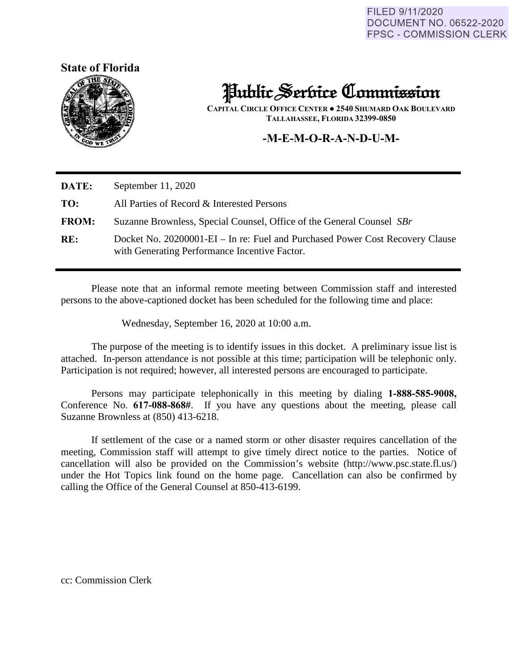FILED 9/11/2020 **DOCUMENT NO. 06522-2020 FPSC - COMMISSION CLERK** 





# Public Service Commission

**CAPITAL CIRCLE OFFICE CENTER ● 2540 SHUMARD OAK BOULEVARD TALLAHASSEE, FLORIDA 32399-0850**

# **-M-E-M-O-R-A-N-D-U-M-**

| DATE:        | September $11, 2020$                                                                                                           |
|--------------|--------------------------------------------------------------------------------------------------------------------------------|
| TO:          | All Parties of Record & Interested Persons                                                                                     |
| <b>FROM:</b> | Suzanne Brownless, Special Counsel, Office of the General Counsel SBr                                                          |
| RE:          | Docket No. 20200001-EI – In re: Fuel and Purchased Power Cost Recovery Clause<br>with Generating Performance Incentive Factor. |

Please note that an informal remote meeting between Commission staff and interested persons to the above-captioned docket has been scheduled for the following time and place:

Wednesday, September 16, 2020 at 10:00 a.m.

The purpose of the meeting is to identify issues in this docket. A preliminary issue list is attached. In-person attendance is not possible at this time; participation will be telephonic only. Participation is not required; however, all interested persons are encouraged to participate.

 Persons may participate telephonically in this meeting by dialing **1-888-585-9008,**  Conference No. **617-088-868#**. If you have any questions about the meeting, please call Suzanne Brownless at (850) 413-6218.

If settlement of the case or a named storm or other disaster requires cancellation of the meeting, Commission staff will attempt to give timely direct notice to the parties. Notice of cancellation will also be provided on the Commission's website (http://www.psc.state.fl.us/) under the Hot Topics link found on the home page. Cancellation can also be confirmed by calling the Office of the General Counsel at 850-413-6199.

cc: Commission Clerk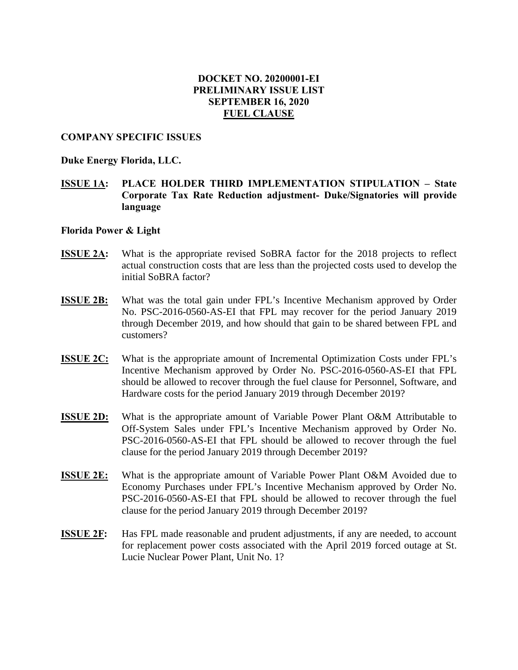# **DOCKET NO. 20200001-EI PRELIMINARY ISSUE LIST SEPTEMBER 16, 2020 FUEL CLAUSE**

#### **COMPANY SPECIFIC ISSUES**

#### **Duke Energy Florida, LLC.**

# **ISSUE 1A: PLACE HOLDER THIRD IMPLEMENTATION STIPULATION – State Corporate Tax Rate Reduction adjustment- Duke/Signatories will provide language**

# **Florida Power & Light**

- **ISSUE 2A:** What is the appropriate revised SoBRA factor for the 2018 projects to reflect actual construction costs that are less than the projected costs used to develop the initial SoBRA factor?
- **ISSUE 2B:** What was the total gain under FPL's Incentive Mechanism approved by Order No. PSC-2016-0560-AS-EI that FPL may recover for the period January 2019 through December 2019, and how should that gain to be shared between FPL and customers?
- **ISSUE 2C:** What is the appropriate amount of Incremental Optimization Costs under FPL's Incentive Mechanism approved by Order No. PSC-2016-0560-AS-EI that FPL should be allowed to recover through the fuel clause for Personnel, Software, and Hardware costs for the period January 2019 through December 2019?
- **ISSUE 2D:** What is the appropriate amount of Variable Power Plant O&M Attributable to Off-System Sales under FPL's Incentive Mechanism approved by Order No. PSC-2016-0560-AS-EI that FPL should be allowed to recover through the fuel clause for the period January 2019 through December 2019?
- **ISSUE 2E:** What is the appropriate amount of Variable Power Plant O&M Avoided due to Economy Purchases under FPL's Incentive Mechanism approved by Order No. PSC-2016-0560-AS-EI that FPL should be allowed to recover through the fuel clause for the period January 2019 through December 2019?
- **ISSUE 2F:** Has FPL made reasonable and prudent adjustments, if any are needed, to account for replacement power costs associated with the April 2019 forced outage at St. Lucie Nuclear Power Plant, Unit No. 1?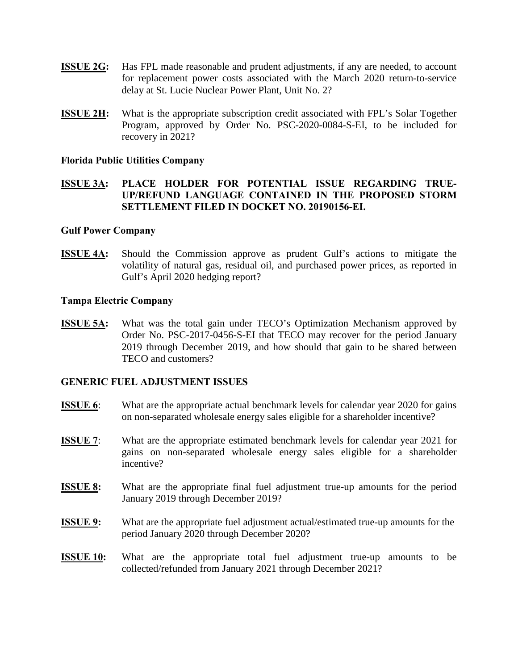- **ISSUE 2G:** Has FPL made reasonable and prudent adjustments, if any are needed, to account for replacement power costs associated with the March 2020 return-to-service delay at St. Lucie Nuclear Power Plant, Unit No. 2?
- **ISSUE 2H:** What is the appropriate subscription credit associated with FPL's Solar Together Program, approved by Order No. PSC-2020-0084-S-EI, to be included for recovery in 2021?

#### **Florida Public Utilities Company**

# **ISSUE 3A: PLACE HOLDER FOR POTENTIAL ISSUE REGARDING TRUE-UP/REFUND LANGUAGE CONTAINED IN THE PROPOSED STORM SETTLEMENT FILED IN DOCKET NO. 20190156-EI.**

#### **Gulf Power Company**

**ISSUE 4A:** Should the Commission approve as prudent Gulf's actions to mitigate the volatility of natural gas, residual oil, and purchased power prices, as reported in Gulf's April 2020 hedging report?

#### **Tampa Electric Company**

**ISSUE 5A:** What was the total gain under TECO's Optimization Mechanism approved by Order No. PSC-2017-0456-S-EI that TECO may recover for the period January 2019 through December 2019, and how should that gain to be shared between TECO and customers?

## **GENERIC FUEL ADJUSTMENT ISSUES**

- **ISSUE 6**: What are the appropriate actual benchmark levels for calendar year 2020 for gains on non-separated wholesale energy sales eligible for a shareholder incentive?
- **ISSUE 7:** What are the appropriate estimated benchmark levels for calendar year 2021 for gains on non-separated wholesale energy sales eligible for a shareholder incentive?
- **ISSUE 8:** What are the appropriate final fuel adjustment true-up amounts for the period January 2019 through December 2019?
- **ISSUE 9:** What are the appropriate fuel adjustment actual/estimated true-up amounts for the period January 2020 through December 2020?
- **ISSUE 10:** What are the appropriate total fuel adjustment true-up amounts to be collected/refunded from January 2021 through December 2021?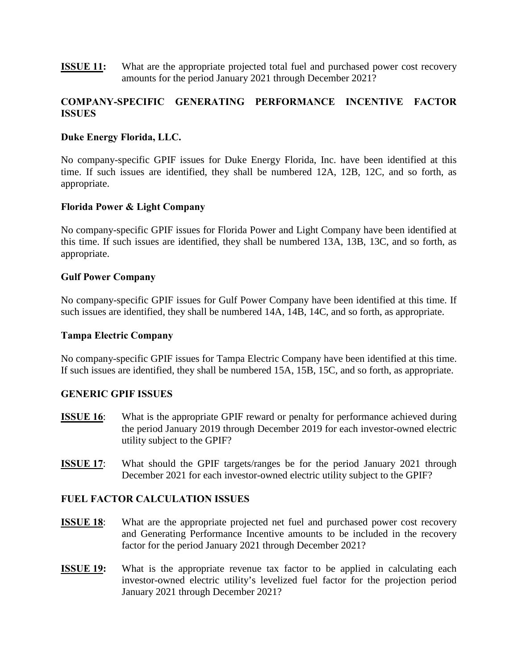**ISSUE 11:** What are the appropriate projected total fuel and purchased power cost recovery amounts for the period January 2021 through December 2021?

# **COMPANY-SPECIFIC GENERATING PERFORMANCE INCENTIVE FACTOR ISSUES**

# **Duke Energy Florida, LLC.**

No company-specific GPIF issues for Duke Energy Florida, Inc. have been identified at this time. If such issues are identified, they shall be numbered 12A, 12B, 12C, and so forth, as appropriate.

## **Florida Power & Light Company**

No company-specific GPIF issues for Florida Power and Light Company have been identified at this time. If such issues are identified, they shall be numbered 13A, 13B, 13C, and so forth, as appropriate.

## **Gulf Power Company**

No company-specific GPIF issues for Gulf Power Company have been identified at this time. If such issues are identified, they shall be numbered 14A, 14B, 14C, and so forth, as appropriate.

## **Tampa Electric Company**

No company-specific GPIF issues for Tampa Electric Company have been identified at this time. If such issues are identified, they shall be numbered 15A, 15B, 15C, and so forth, as appropriate.

## **GENERIC GPIF ISSUES**

- **ISSUE 16:** What is the appropriate GPIF reward or penalty for performance achieved during the period January 2019 through December 2019 for each investor-owned electric utility subject to the GPIF?
- **ISSUE 17:** What should the GPIF targets/ranges be for the period January 2021 through December 2021 for each investor-owned electric utility subject to the GPIF?

# **FUEL FACTOR CALCULATION ISSUES**

- **ISSUE 18**: What are the appropriate projected net fuel and purchased power cost recovery and Generating Performance Incentive amounts to be included in the recovery factor for the period January 2021 through December 2021?
- **ISSUE 19:** What is the appropriate revenue tax factor to be applied in calculating each investor-owned electric utility's levelized fuel factor for the projection period January 2021 through December 2021?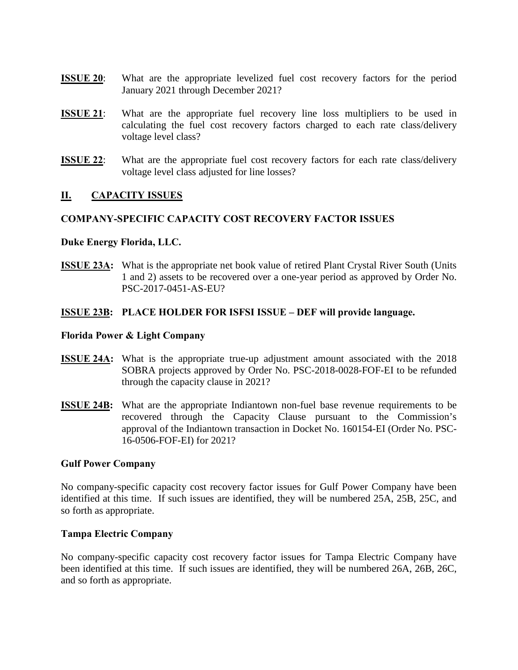- **ISSUE 20:** What are the appropriate levelized fuel cost recovery factors for the period January 2021 through December 2021?
- **ISSUE 21:** What are the appropriate fuel recovery line loss multipliers to be used in calculating the fuel cost recovery factors charged to each rate class/delivery voltage level class?
- **ISSUE 22:** What are the appropriate fuel cost recovery factors for each rate class/delivery voltage level class adjusted for line losses?

## **II. CAPACITY ISSUES**

## **COMPANY-SPECIFIC CAPACITY COST RECOVERY FACTOR ISSUES**

#### **Duke Energy Florida, LLC.**

**ISSUE 23A:** What is the appropriate net book value of retired Plant Crystal River South (Units 1 and 2) assets to be recovered over a one-year period as approved by Order No. PSC-2017-0451-AS-EU?

#### **ISSUE 23B: PLACE HOLDER FOR ISFSI ISSUE – DEF will provide language.**

#### **Florida Power & Light Company**

- **ISSUE 24A:** What is the appropriate true-up adjustment amount associated with the 2018 SOBRA projects approved by Order No. PSC-2018-0028-FOF-EI to be refunded through the capacity clause in 2021?
- **ISSUE 24B:** What are the appropriate Indiantown non-fuel base revenue requirements to be recovered through the Capacity Clause pursuant to the Commission's approval of the Indiantown transaction in Docket No. 160154-EI (Order No. PSC-16-0506-FOF-EI) for 2021?

#### **Gulf Power Company**

No company-specific capacity cost recovery factor issues for Gulf Power Company have been identified at this time. If such issues are identified, they will be numbered 25A, 25B, 25C, and so forth as appropriate.

#### **Tampa Electric Company**

No company-specific capacity cost recovery factor issues for Tampa Electric Company have been identified at this time. If such issues are identified, they will be numbered 26A, 26B, 26C, and so forth as appropriate.